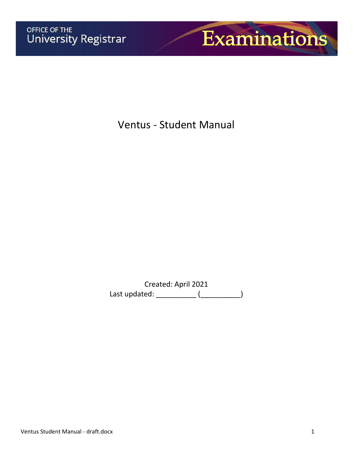

Ventus - Student Manual

Created: April 2021 Last updated: \_\_\_\_\_\_\_\_\_\_\_\_ (\_\_\_\_\_\_\_\_\_\_\_\_)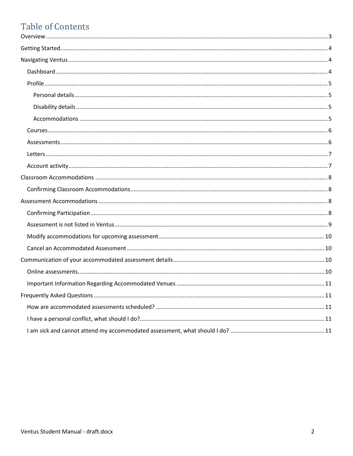# **Table of Contents**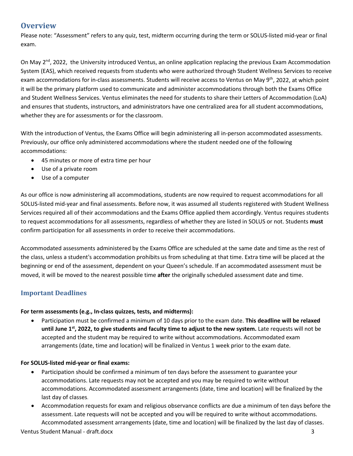# <span id="page-2-0"></span>**Overview**

Please note: "Assessment" refers to any quiz, test, midterm occurring during the term or SOLUS-listed mid-year or final exam.

On May 2<sup>nd</sup>, 2022, the University introduced Ventus, an online application replacing the previous Exam Accommodation System (EAS), which received requests from students who were authorized through Student Wellness Services to receive exam accommodations for in-class assessments. Students will receive access to Ventus on May 9<sup>th</sup>, 2022, at which point it will be the primary platform used to communicate and administer accommodations through both the Exams Office and Student Wellness Services. Ventus eliminates the need for students to share their Letters of Accommodation (LoA) and ensures that students, instructors, and administrators have one centralized area for all student accommodations, whether they are for assessments or for the classroom.

With the introduction of Ventus, the Exams Office will begin administering all in-person accommodated assessments. Previously, our office only administered accommodations where the student needed one of the following accommodations:

- 45 minutes or more of extra time per hour
- Use of a private room
- Use of a computer

As our office is now administering all accommodations, students are now required to request accommodations for all SOLUS-listed mid-year and final assessments. Before now, it was assumed all students registered with Student Wellness Services required all of their accommodations and the Exams Office applied them accordingly. Ventus requires students to request accommodations for all assessments, regardless of whether they are listed in SOLUS or not. Students **must** confirm participation for all assessments in order to receive their accommodations.

Accommodated assessments administered by the Exams Office are scheduled at the same date and time as the rest of the class, unless a student's accommodation prohibits us from scheduling at that time. Extra time will be placed at the beginning or end of the assessment, dependent on your Queen's schedule. If an accommodated assessment must be moved, it will be moved to the nearest possible time **after** the originally scheduled assessment date and time.

### **Important Deadlines**

### **For term assessments (e.g., In-class quizzes, tests, and midterms):**

• Participation must be confirmed a minimum of 10 days prior to the exam date. **This deadline will be relaxed until June 1st, 2022, to give students and faculty time to adjust to the new system.** Late requests will not be accepted and the student may be required to write without accommodations. Accommodated exam arrangements (date, time and location) will be finalized in Ventus 1 week prior to the exam date.

### **For SOLUS-listed mid-year or final exams:**

- Participation should be confirmed a minimum of ten days before the assessment to guarantee your accommodations. Late requests may not be accepted and you may be required to write without accommodations. Accommodated assessment arrangements (date, time and location) will be finalized by the last day of classes.
- Accommodation requests for exam and religious observance conflicts are due a minimum of ten days before the assessment. Late requests will not be accepted and you will be required to write without accommodations. Accommodated assessment arrangements (date, time and location) will be finalized by the last day of classes.

Ventus Student Manual - draft.docx 3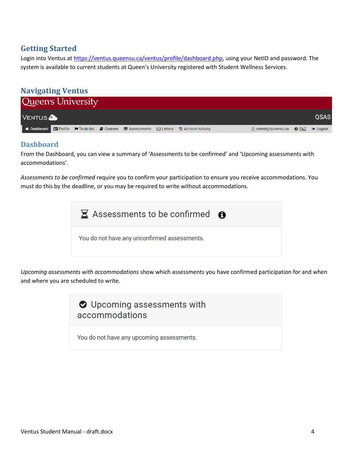# <span id="page-3-0"></span>**Getting Started**

Login into Ventus at [https://ventus.queensu.ca/ventus/profile/dashboard.php,](https://ventus.queensu.ca/ventus/profile/dashboard.php) using your NetID and password. The system is available to current students at Queen's University registered with Student Wellness Services.

<span id="page-3-1"></span>

### <span id="page-3-2"></span>**Dashboard**

From the Dashboard, you can view a summary of 'Assessments to be confirmed' and 'Upcoming assessments with accommodations'.

*Assessments to be confirmed* require you to confirm your participation to ensure you receive accommodations. You must do this by the deadline, or you may be required to write without accommodations.



*Upcoming assessments with accommodations* show which assessments you have confirmed participation for and when and where you are scheduled to write.

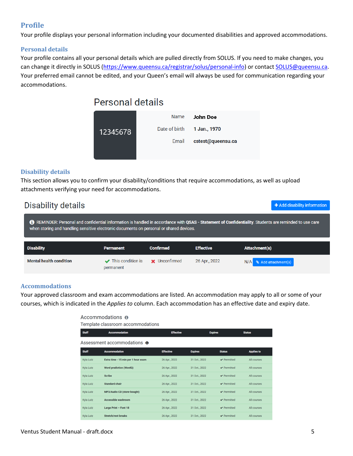### <span id="page-4-0"></span>**Profile**

Your profile displays your personal information including your documented disabilities and approved accommodations.

### <span id="page-4-1"></span>**Personal details**

Your profile contains all your personal details which are pulled directly from SOLUS. If you need to make changes, you can change it directly in SOLUS [\(https://www.queensu.ca/registrar/solus/personal-info\)](https://www.queensu.ca/registrar/solus/personal-info) or contact [SOLUS@queensu.ca.](mailto:SOLUS@queensu.ca) Your preferred email cannot be edited, and your Queen's email will always be used for communication regarding your accommodations.

# Personal details



### <span id="page-4-2"></span>**Disability details**

This section allows you to confirm your disability/conditions that require accommodations, as well as upload attachments verifying your need for accommodations.

| Disability details                                                                                                                                                                                                                              | + Add disability information |                  |                  |               |  |  |  |
|-------------------------------------------------------------------------------------------------------------------------------------------------------------------------------------------------------------------------------------------------|------------------------------|------------------|------------------|---------------|--|--|--|
| REMINDER: Personal and confidential information is handled in accordance with QSAS - Statement of Confidentiality. Students are reminded to use care<br>when storing and handling sensitive electronic documents on personal or shared devices. |                              |                  |                  |               |  |  |  |
| <b>Disability</b>                                                                                                                                                                                                                               | <b>Permanent</b>             | <b>Confirmed</b> |                  |               |  |  |  |
|                                                                                                                                                                                                                                                 |                              |                  | <b>Effective</b> | Attachment(s) |  |  |  |

### <span id="page-4-3"></span>**Accommodations**

Your approved classroom and exam accommodations are listed. An accommodation may apply to all or some of your courses, which is indicated in the *Applies to* column. Each accommodation has an effective date and expiry date.

| Accommodations <b>O</b>            |                                     |                  |                |                                 |                   |  |  |  |  |  |
|------------------------------------|-------------------------------------|------------------|----------------|---------------------------------|-------------------|--|--|--|--|--|
|                                    | Template classroom accommodations   |                  |                |                                 |                   |  |  |  |  |  |
| <b>Staff</b>                       | <b>Accommodation</b>                | <b>Effective</b> |                | <b>Expires</b>                  | <b>Status</b>     |  |  |  |  |  |
| Assessment accommodations <b>o</b> |                                     |                  |                |                                 |                   |  |  |  |  |  |
| <b>Staff</b>                       | <b>Accommodation</b>                | <b>Effective</b> | <b>Expires</b> | <b>Status</b>                   | <b>Applies to</b> |  |  |  |  |  |
| Kyla Lutz                          | Extra time - 15 min per 1 hour exam | 26 Apr., 2022    | 31 Oct., 2022  | $\blacktriangleright$ Permitted | All courses       |  |  |  |  |  |
| Kyla Lutz                          | <b>Word prediction (WordQ)</b>      | 26 Apr., 2022    | 31 Oct., 2022  | $\blacktriangleright$ Permitted | All courses       |  |  |  |  |  |
| <b>Kyla Lutz</b>                   | <b>Scribe</b>                       | 26 Apr., 2022    | 31 Oct., 2022  | $\vee$ Permitted                | All courses       |  |  |  |  |  |
| <b>Kyla Lutz</b>                   | <b>Standard chair</b>               | 26 Apr., 2022    | 31 Oct., 2022  | $\vee$ Permitted                | All courses       |  |  |  |  |  |
| Kyla Lutz                          | MP3/Audio CD (store-bought)         | 26 Apr., 2022    | 31 Oct., 2022  | $\blacktriangleright$ Permitted | All courses       |  |  |  |  |  |
| <b>Kyla Lutz</b>                   | <b>Accessible washroom</b>          | 26 Apr., 2022    | 31 Oct., 2022  | $\blacktriangleright$ Permitted | All courses       |  |  |  |  |  |
| Kyla Lutz                          | Large Print - Font 18               | 26 Apr., 2022    | 31 Oct., 2022  | $\blacktriangleright$ Permitted | All courses       |  |  |  |  |  |
| Kyla Lutz                          | <b>Stretch/rest breaks</b>          | 26 Apr., 2022    | 31 Oct., 2022  | $\vee$ Permitted                | All courses       |  |  |  |  |  |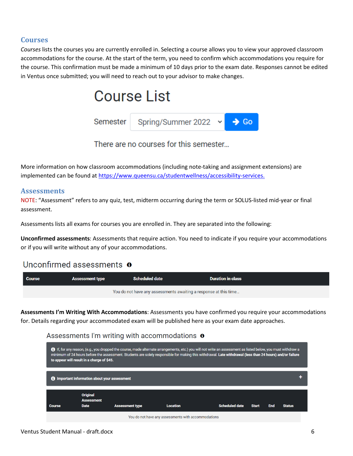### <span id="page-5-0"></span>**Courses**

*Courses* lists the courses you are currently enrolled in. Selecting a course allows you to view your approved classroom accommodations for the course. At the start of the term, you need to confirm which accommodations you require for the course. This confirmation must be made a minimum of 10 days prior to the exam date. Responses cannot be edited in Ventus once submitted; you will need to reach out to your advisor to make changes.



There are no courses for this semester...

More information on how classroom accommodations (including note-taking and assignment extensions) are implemented can be found at [https://www.queensu.ca/studentwellness/accessibility-services.](https://www.queensu.ca/studentwellness/accessibility-services)

### <span id="page-5-1"></span>**Assessments**

NOTE: "Assessment" refers to any quiz, test, midterm occurring during the term or SOLUS-listed mid-year or final assessment.

Assessments lists all exams for courses you are enrolled in. They are separated into the following:

**Unconfirmed assessments**: Assessments that require action. You need to indicate if you require your accommodations or if you will write without any of your accommodations.

# Unconfirmed assessments  $\theta$

| Course                                                           | <b>Assessment type</b> | <b>Scheduled date</b> | <b>Duration in class</b> |  |  |  |
|------------------------------------------------------------------|------------------------|-----------------------|--------------------------|--|--|--|
| You do not have any assessments awaiting a response at this time |                        |                       |                          |  |  |  |

**Assessments I'm Writing With Accommodations**: Assessments you have confirmed you require your accommodations for. Details regarding your accommodated exam will be published here as your exam date approaches.

### Assessments I'm writing with accommodations  $\bullet$

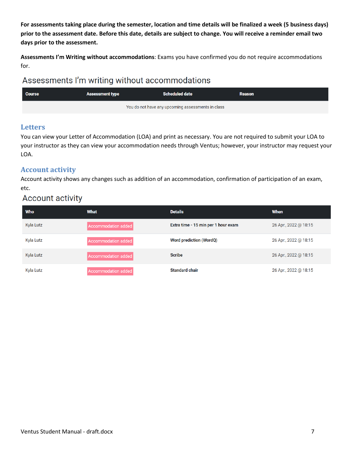**For assessments taking place during the semester, location and time details will be finalized a week (5 business days) prior to the assessment date. Before this date, details are subject to change. You will receive a reminder email two days prior to the assessment.**

**Assessments I'm Writing without accommodations**: Exams you have confirmed you do not require accommodations for.

# Assessments I'm writing without accommodations

| <b>Course</b> | <b>Assessment type</b> | <b>Scheduled date</b>                             | <b>Reason</b> |
|---------------|------------------------|---------------------------------------------------|---------------|
|               |                        | You do not have any upcoming assessments in class |               |

### <span id="page-6-0"></span>**Letters**

You can view your Letter of Accommodation (LOA) and print as necessary. You are not required to submit your LOA to your instructor as they can view your accommodation needs through Ventus; however, your instructor may request your LOA.

### <span id="page-6-1"></span>**Account activity**

Account activity shows any changes such as addition of an accommodation, confirmation of participation of an exam, etc.

# **Account activity**

| Who       | <b>What</b>         | <b>Details</b>                      | <b>When</b>           |
|-----------|---------------------|-------------------------------------|-----------------------|
| Kyla Lutz | Accommodation added | Extra time - 15 min per 1 hour exam | 26 Apr., 2022 @ 18:15 |
| Kyla Lutz | Accommodation added | <b>Word prediction (WordQ)</b>      | 26 Apr., 2022 @ 18:15 |
| Kyla Lutz | Accommodation added | <b>Scribe</b>                       | 26 Apr., 2022 @ 18:15 |
| Kyla Lutz | Accommodation added | <b>Standard chair</b>               | 26 Apr., 2022 @ 18:15 |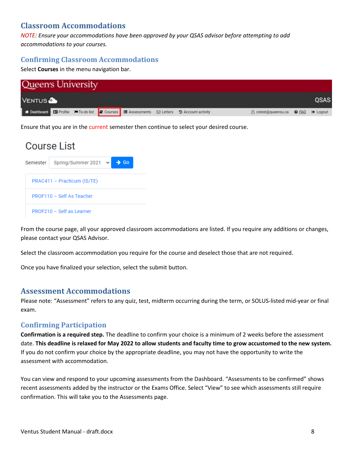# <span id="page-7-0"></span>**Classroom Accommodations**

*NOTE: Ensure your accommodations have been approved by your QSAS advisor before attempting to add accommodations to your courses.*

### <span id="page-7-1"></span>**Confirming Classroom Accommodations**

Select **Courses** in the menu navigation bar.

| Queen's University |  |  |                                                                                                                |                                    |             |
|--------------------|--|--|----------------------------------------------------------------------------------------------------------------|------------------------------------|-------------|
| <b>VENTUS</b>      |  |  |                                                                                                                |                                    | <b>QSAS</b> |
|                    |  |  | Bashboard <b>EX</b> Profile MPTo-dollist <b>@</b> Courses III Assessments <b>EX Letters</b> 3 Account activity | B cstest@queensu.ca ● EAQ ● Logout |             |

Ensure that you are in the current semester then continue to select your desired course.

# Course List

| Semester   Spring/Summer 2021 $\vee$ | Go |  |
|--------------------------------------|----|--|
| PRAC411 - Practicum (IS/TE)          |    |  |
| PROF110 - Self As Teacher            |    |  |
| PROF210 - Self as Learner            |    |  |

From the course page, all your approved classroom accommodations are listed. If you require any additions or changes, please contact your QSAS Advisor.

Select the classroom accommodation you require for the course and deselect those that are not required.

Once you have finalized your selection, select the submit button.

### <span id="page-7-2"></span>**Assessment Accommodations**

Please note: "Assessment" refers to any quiz, test, midterm occurring during the term, or SOLUS-listed mid-year or final exam.

### <span id="page-7-3"></span>**Confirming Participation**

**Confirmation is a required step.** The deadline to confirm your choice is a minimum of 2 weeks before the assessment date. **This deadline is relaxed for May 2022 to allow students and faculty time to grow accustomed to the new system.**  If you do not confirm your choice by the appropriate deadline, you may not have the opportunity to write the assessment with accommodation.

You can view and respond to your upcoming assessments from the Dashboard. "Assessments to be confirmed" shows recent assessments added by the instructor or the Exams Office. Select "View" to see which assessments still require confirmation. This will take you to the Assessments page.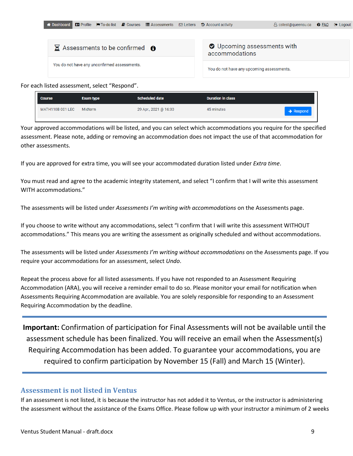|--|--|--|--|--|--|--|

| $\Xi$ Assessments to be confirmed $\Theta$   | O Upcoming assessments with<br>accommodations |
|----------------------------------------------|-----------------------------------------------|
| You do not have any unconfirmed assessments. | You do not have any upcoming assessments.     |

For each listed assessment, select "Respond".

| <b>Course</b>    | <b>Exam type</b> | <b>Scheduled date</b> | <b>Duration in class</b> |                       |
|------------------|------------------|-----------------------|--------------------------|-----------------------|
| MATH110B 001 LEC | Midterm          | 29 Apr., 2021 @ 16:30 | 45 minutes               | $\rightarrow$ Respond |

Your approved accommodations will be listed, and you can select which accommodations you require for the specified assessment. Please note, adding or removing an accommodation does not impact the use of that accommodation for other assessments.

If you are approved for extra time, you will see your accommodated duration listed under *Extra time*.

You must read and agree to the academic integrity statement, and select "I confirm that I will write this assessment WITH accommodations."

The assessments will be listed under *Assessments I'm writing with accommodations* on the Assessments page.

If you choose to write without any accommodations, select "I confirm that I will write this assessment WITHOUT accommodations." This means you are writing the assessment as originally scheduled and without accommodations.

The assessments will be listed under *Assessments I'm writing without accommodations* on the Assessments page. If you require your accommodations for an assessment, select *Undo*.

Repeat the process above for all listed assessments. If you have not responded to an Assessment Requiring Accommodation (ARA), you will receive a reminder email to do so. Please monitor your email for notification when Assessments Requiring Accommodation are available. You are solely responsible for responding to an Assessment Requiring Accommodation by the deadline.

**Important:** Confirmation of participation for Final Assessments will not be available until the assessment schedule has been finalized. You will receive an email when the Assessment(s) Requiring Accommodation has been added. To guarantee your accommodations, you are required to confirm participation by November 15 (Fall) and March 15 (Winter).

### <span id="page-8-0"></span>**Assessment is not listed in Ventus**

If an assessment is not listed, it is because the instructor has not added it to Ventus, or the instructor is administering the assessment without the assistance of the Exams Office. Please follow up with your instructor a minimum of 2 weeks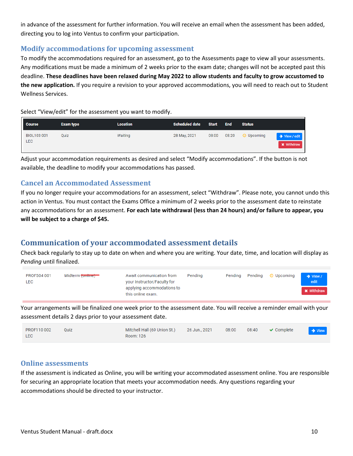in advance of the assessment for further information. You will receive an email when the assessment has been added, directing you to log into Ventus to confirm your participation.

### <span id="page-9-0"></span>**Modify accommodations for upcoming assessment**

To modify the accommodations required for an assessment, go to the Assessments page to view all your assessments. Any modifications must be made a minimum of 2 weeks prior to the exam date; changes will not be accepted past this deadline. **These deadlines have been relaxed during May 2022 to allow students and faculty to grow accustomed to the new application.** If you require a revision to your approved accommodations, you will need to reach out to Student Wellness Services.

Select "View/edit" for the assessment you want to modify.

| <b>Course</b>                    | <b>Exam type</b> | Location | <b>Scheduled date</b> | <b>Start</b> | <b>End</b> | <b>Status</b>    |                                    |
|----------------------------------|------------------|----------|-----------------------|--------------|------------|------------------|------------------------------------|
| <b>BIOL103 001</b><br><b>LEC</b> | Quiz             | Waiting  | 28 May, 2021          | 08:00        | 08:20      | $\odot$ Upcoming | → View / edit<br><b>*</b> Withdraw |

Adjust your accommodation requirements as desired and select "Modify accommodations". If the button is not available, the deadline to modify your accommodations has passed.

### <span id="page-9-1"></span>**Cancel an Accommodated Assessment**

If you no longer require your accommodations for an assessment, select "Withdraw". Please note, you cannot undo this action in Ventus. You must contact the Exams Office a minimum of 2 weeks prior to the assessment date to reinstate any accommodations for an assessment. **For each late withdrawal (less than 24 hours) and/or failure to appear, you will be subject to a charge of \$45.**

# <span id="page-9-2"></span>**Communication of your accommodated assessment details**

Check back regularly to stay up to date on when and where you are writing. Your date, time, and location will display as *Pending* until finalized.

| PROF504 001<br>LEC | Midterm <del>(online)</del> | Await communication from<br>your Instructor/Faculty for | Pendina | Pending | Pending © Upcoming | $\rightarrow$ View /<br>edit |
|--------------------|-----------------------------|---------------------------------------------------------|---------|---------|--------------------|------------------------------|
|                    |                             | applying accommodations to<br>this online exam.         |         |         |                    | <b>*</b> Withdraw            |

Your arrangements will be finalized one week prior to the assessment date. You will receive a reminder email with your assessment details 2 days prior to your assessment date.

| PROF110 002 | Quiz | Mitchell Hall (69 Union St.) | 26 Jun., 2021 | 08:00 | $08:40$ $\vee$ Complete | $\rightarrow$ View |
|-------------|------|------------------------------|---------------|-------|-------------------------|--------------------|
| LEC         |      | Room: 126                    |               |       |                         |                    |

### <span id="page-9-3"></span>**Online assessments**

If the assessment is indicated as Online, you will be writing your accommodated assessment online. You are responsible for securing an appropriate location that meets your accommodation needs. Any questions regarding your accommodations should be directed to your instructor.